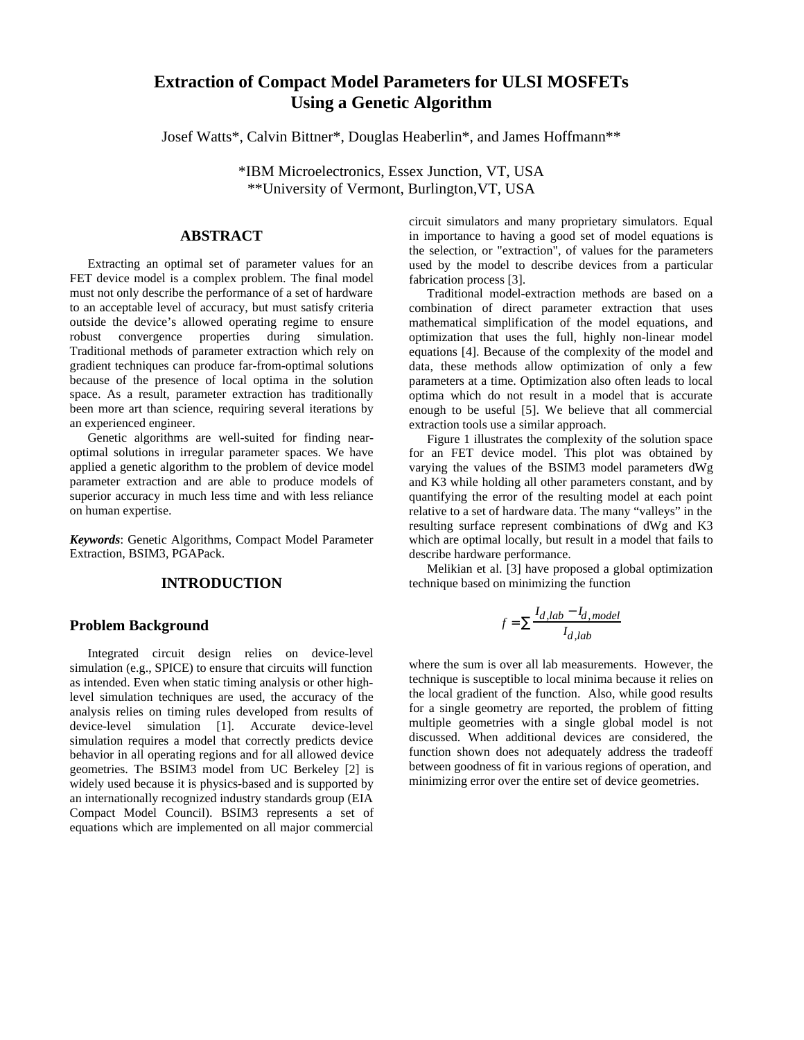# **Extraction of Compact Model Parameters for ULSI MOSFETs Using a Genetic Algorithm**

Josef Watts\*, Calvin Bittner\*, Douglas Heaberlin\*, and James Hoffmann\*\*

\*IBM Microelectronics, Essex Junction, VT, USA \*\*University of Vermont, Burlington,VT, USA

## **ABSTRACT**

Extracting an optimal set of parameter values for an FET device model is a complex problem. The final model must not only describe the performance of a set of hardware to an acceptable level of accuracy, but must satisfy criteria outside the device's allowed operating regime to ensure robust convergence properties during simulation. Traditional methods of parameter extraction which rely on gradient techniques can produce far-from-optimal solutions because of the presence of local optima in the solution space. As a result, parameter extraction has traditionally been more art than science, requiring several iterations by an experienced engineer.

Genetic algorithms are well-suited for finding nearoptimal solutions in irregular parameter spaces. We have applied a genetic algorithm to the problem of device model parameter extraction and are able to produce models of superior accuracy in much less time and with less reliance on human expertise.

*Keywords*: Genetic Algorithms, Compact Model Parameter Extraction, BSIM3, PGAPack.

## **INTRODUCTION**

## **Problem Background**

Integrated circuit design relies on device-level simulation (e.g., SPICE) to ensure that circuits will function as intended. Even when static timing analysis or other highlevel simulation techniques are used, the accuracy of the analysis relies on timing rules developed from results of device-level simulation [1]. Accurate device-level simulation requires a model that correctly predicts device behavior in all operating regions and for all allowed device geometries. The BSIM3 model from UC Berkeley [2] is widely used because it is physics-based and is supported by an internationally recognized industry standards group (EIA Compact Model Council). BSIM3 represents a set of equations which are implemented on all major commercial circuit simulators and many proprietary simulators. Equal in importance to having a good set of model equations is the selection, or "extraction", of values for the parameters used by the model to describe devices from a particular fabrication process [3].

Traditional model-extraction methods are based on a combination of direct parameter extraction that uses mathematical simplification of the model equations, and optimization that uses the full, highly non-linear model equations [4]. Because of the complexity of the model and data, these methods allow optimization of only a few parameters at a time. Optimization also often leads to local optima which do not result in a model that is accurate enough to be useful [5]. We believe that all commercial extraction tools use a similar approach.

Figure 1 illustrates the complexity of the solution space for an FET device model. This plot was obtained by varying the values of the BSIM3 model parameters dWg and K3 while holding all other parameters constant, and by quantifying the error of the resulting model at each point relative to a set of hardware data. The many "valleys" in the resulting surface represent combinations of dWg and K3 which are optimal locally, but result in a model that fails to describe hardware performance.

Melikian et al. [3] have proposed a global optimization technique based on minimizing the function

$$
f = \frac{I_{d,lab} - I_{d,model}}{I_{d,lab}}
$$

where the sum is over all lab measurements. However, the technique is susceptible to local minima because it relies on the local gradient of the function. Also, while good results for a single geometry are reported, the problem of fitting multiple geometries with a single global model is not discussed. When additional devices are considered, the function shown does not adequately address the tradeoff between goodness of fit in various regions of operation, and minimizing error over the entire set of device geometries.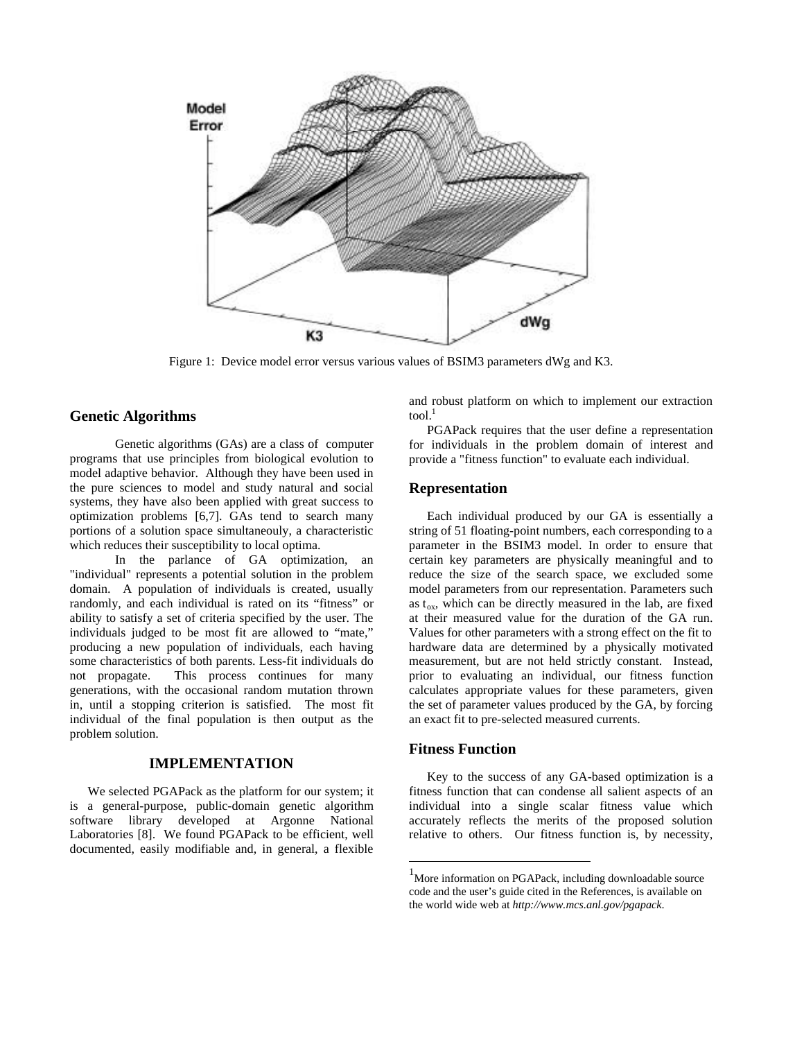

Figure 1: Device model error versus various values of BSIM3 parameters dWg and K3.

## **Genetic Algorithms**

Genetic algorithms (GAs) are a class of computer programs that use principles from biological evolution to model adaptive behavior. Although they have been used in the pure sciences to model and study natural and social systems, they have also been applied with great success to optimization problems [6,7]. GAs tend to search many portions of a solution space simultaneouly, a characteristic which reduces their susceptibility to local optima.

In the parlance of GA optimization, an "individual" represents a potential solution in the problem domain. A population of individuals is created, usually randomly, and each individual is rated on its "fitness" or ability to satisfy a set of criteria specified by the user. The individuals judged to be most fit are allowed to "mate," producing a new population of individuals, each having some characteristics of both parents. Less-fit individuals do not propagate. This process continues for many generations, with the occasional random mutation thrown in, until a stopping criterion is satisfied. The most fit individual of the final population is then output as the problem solution.

#### **IMPLEMENTATION**

We selected PGAPack as the platform for our system; it is a general-purpose, public-domain genetic algorithm software library developed at Argonne National Laboratories [8]. We found PGAPack to be efficient, well documented, easily modifiable and, in general, a flexible

and robust platform on which to implement our extraction  $tool.<sup>1</sup>$ 

PGAPack requires that the user define a representation for individuals in the problem domain of interest and provide a "fitness function" to evaluate each individual.

#### **Representation**

Each individual produced by our GA is essentially a string of 51 floating-point numbers, each corresponding to a parameter in the BSIM3 model. In order to ensure that certain key parameters are physically meaningful and to reduce the size of the search space, we excluded some model parameters from our representation. Parameters such as  $t_{ox}$ , which can be directly measured in the lab, are fixed at their measured value for the duration of the GA run. Values for other parameters with a strong effect on the fit to hardware data are determined by a physically motivated measurement, but are not held strictly constant. Instead, prior to evaluating an individual, our fitness function calculates appropriate values for these parameters, given the set of parameter values produced by the GA, by forcing an exact fit to pre-selected measured currents.

#### **Fitness Function**

l

Key to the success of any GA-based optimization is a fitness function that can condense all salient aspects of an individual into a single scalar fitness value which accurately reflects the merits of the proposed solution relative to others. Our fitness function is, by necessity,

<sup>&</sup>lt;sup>1</sup>More information on PGAPack, including downloadable source code and the user's guide cited in the References, is available on the world wide web at *http://www.mcs.anl.gov/pgapack*.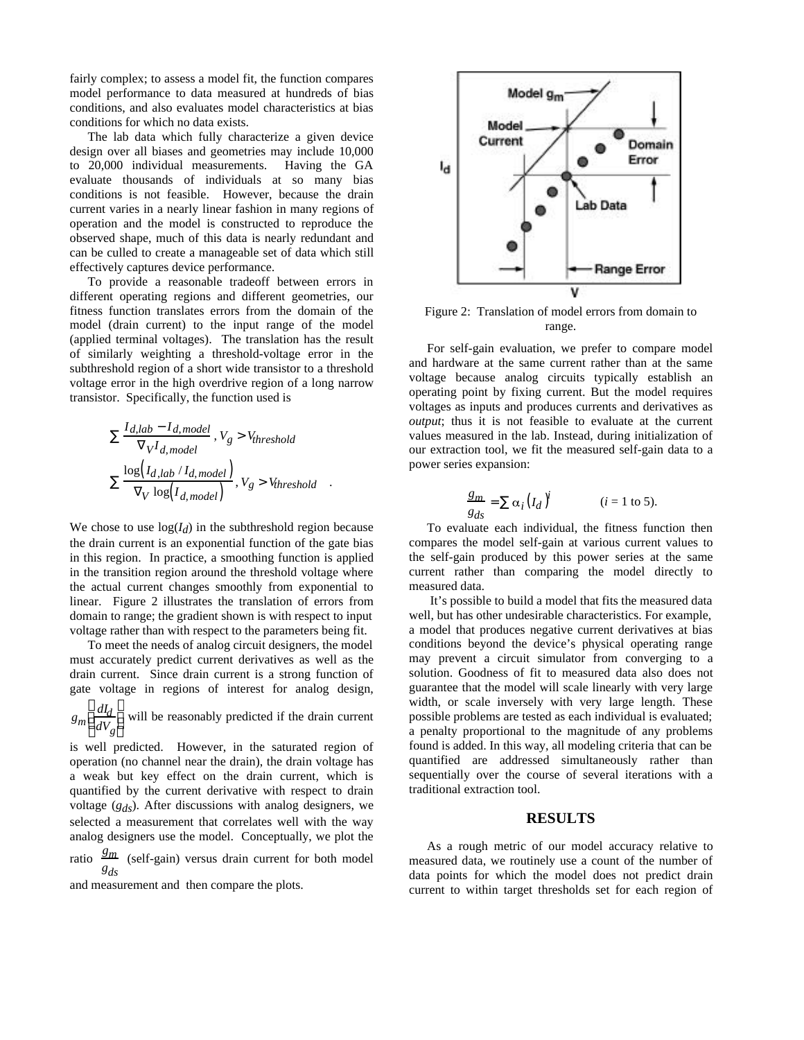fairly complex; to assess a model fit, the function compares model performance to data measured at hundreds of bias conditions, and also evaluates model characteristics at bias conditions for which no data exists.

The lab data which fully characterize a given device design over all biases and geometries may include 10,000 to 20,000 individual measurements. Having the GA evaluate thousands of individuals at so many bias conditions is not feasible. However, because the drain current varies in a nearly linear fashion in many regions of operation and the model is constructed to reproduce the observed shape, much of this data is nearly redundant and can be culled to create a manageable set of data which still effectively captures device performance.

To provide a reasonable tradeoff between errors in different operating regions and different geometries, our fitness function translates errors from the domain of the model (drain current) to the input range of the model (applied terminal voltages). The translation has the result of similarly weighting a threshold-voltage error in the subthreshold region of a short wide transistor to a threshold voltage error in the high overdrive region of a long narrow transistor. Specifically, the function used is

$$
\frac{I_{d,lab} - I_{d,model}}{vI_{d,model}}, V_g > V_{threshold}
$$
  

$$
\frac{\log(I_{d,lab} / I_{d,model})}{v \log(I_{d,model})}, V_g > V_{threshold}
$$

We chose to use  $log(I_d)$  in the subthreshold region because the drain current is an exponential function of the gate bias in this region. In practice, a smoothing function is applied in the transition region around the threshold voltage where the actual current changes smoothly from exponential to linear. Figure 2 illustrates the translation of errors from domain to range; the gradient shown is with respect to input voltage rather than with respect to the parameters being fit.

To meet the needs of analog circuit designers, the model must accurately predict current derivatives as well as the drain current. Since drain current is a strong function of gate voltage in regions of interest for analog design,

 $g_m \frac{dI_d}{dV}$ *dVg*  $\overline{\phantom{a}}$  $\overline{a}$ will be reasonably predicted if the drain current

is well predicted. However, in the saturated region of operation (no channel near the drain), the drain voltage has a weak but key effect on the drain current, which is quantified by the current derivative with respect to drain voltage (*gds*). After discussions with analog designers, we selected a measurement that correlates well with the way analog designers use the model. Conceptually, we plot the

ratio  $\frac{g_m}{g}$  (self-gain) versus drain current for both model *gds*

and measurement and then compare the plots.



Figure 2: Translation of model errors from domain to range.

For self-gain evaluation, we prefer to compare model and hardware at the same current rather than at the same voltage because analog circuits typically establish an operating point by fixing current. But the model requires voltages as inputs and produces currents and derivatives as *output*; thus it is not feasible to evaluate at the current values measured in the lab. Instead, during initialization of our extraction tool, we fit the measured self-gain data to a power series expansion:

$$
\frac{g_m}{g_{ds}} = \alpha_i (I_d)^i \qquad (i = 1 \text{ to } 5).
$$

To evaluate each individual, the fitness function then compares the model self-gain at various current values to the self-gain produced by this power series at the same current rather than comparing the model directly to measured data.

 It's possible to build a model that fits the measured data well, but has other undesirable characteristics. For example, a model that produces negative current derivatives at bias conditions beyond the device's physical operating range may prevent a circuit simulator from converging to a solution. Goodness of fit to measured data also does not guarantee that the model will scale linearly with very large width, or scale inversely with very large length. These possible problems are tested as each individual is evaluated; a penalty proportional to the magnitude of any problems found is added. In this way, all modeling criteria that can be quantified are addressed simultaneously rather than sequentially over the course of several iterations with a traditional extraction tool.

#### **RESULTS**

As a rough metric of our model accuracy relative to measured data, we routinely use a count of the number of data points for which the model does not predict drain current to within target thresholds set for each region of